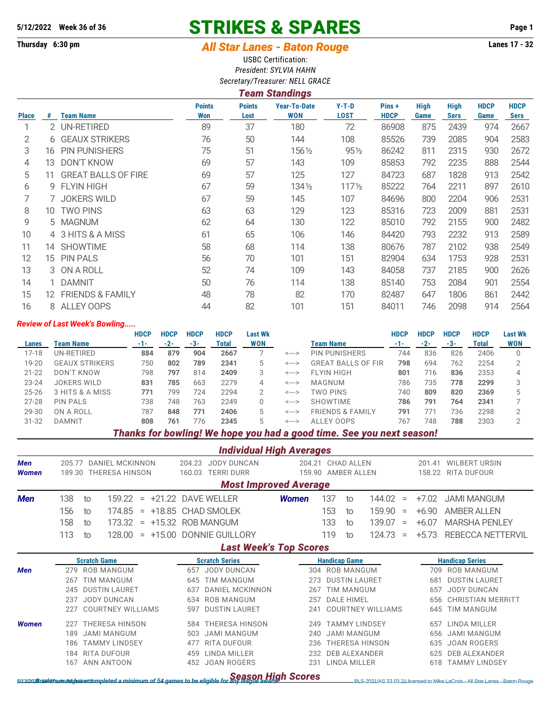# **5/12/2022 Week 36 of 36 STRIKES & SPARES Page 1**

# **Thursday 6:30 pm** *All Star Lanes - Baton Rouge* **Lanes 17 - 32**

USBC Certification: *President: SYLVIA HAHN Secretary/Treasurer: NELL GRACE*

|              | $\frac{1}{2}$<br><b>Team Standings</b>                                                                                                                                                                                                                                                                                                                                             |  |                             |                       |                                   |                        |                       |              |                            |                     |                            |  |  |
|--------------|------------------------------------------------------------------------------------------------------------------------------------------------------------------------------------------------------------------------------------------------------------------------------------------------------------------------------------------------------------------------------------|--|-----------------------------|-----------------------|-----------------------------------|------------------------|-----------------------|--------------|----------------------------|---------------------|----------------------------|--|--|
| <b>Place</b> | <b>Team Name</b><br>#<br>2 UN-RETIRED<br><b>6 GEAUX STRIKERS</b><br><b>PIN PUNISHERS</b><br>16<br><b>DON'T KNOW</b><br>13<br><b>GREAT BALLS OF FIRE</b><br>11<br>9 FLYIN HIGH<br>7 JOKERS WILD<br><b>TWO PINS</b><br>10<br>5 MAGNUM<br>4 3 HITS & A MISS<br>14 SHOWTIME<br><b>PIN PALS</b><br>15.<br>3 ON A ROLL<br>1 DAMNIT<br><b>FRIENDS &amp; FAMILY</b><br>12.<br>8 ALLEY OOPS |  | <b>Points</b><br><b>Won</b> | <b>Points</b><br>Lost | <b>Year-To-Date</b><br><b>WON</b> | $Y-T-D$<br><b>LOST</b> | Pins +<br><b>HDCP</b> | High<br>Game | <b>High</b><br><b>Sers</b> | <b>HDCP</b><br>Game | <b>HDCP</b><br><b>Sers</b> |  |  |
|              |                                                                                                                                                                                                                                                                                                                                                                                    |  | 89                          | 37                    | 180                               | 72                     | 86908                 | 875          | 2439                       | 974                 | 2667                       |  |  |
| 2            |                                                                                                                                                                                                                                                                                                                                                                                    |  | 76                          | 50                    | 144                               | 108                    | 85526                 | 739          | 2085                       | 904                 | 2583                       |  |  |
| 3            |                                                                                                                                                                                                                                                                                                                                                                                    |  | 75                          | 51                    | 1561/2                            | $95\%$                 | 86242                 | 811          | 2315                       | 930                 | 2672                       |  |  |
| 4            |                                                                                                                                                                                                                                                                                                                                                                                    |  | 69                          | 57                    | 143                               | 109                    | 85853                 | 792          | 2235                       | 888                 | 2544                       |  |  |
| 5            |                                                                                                                                                                                                                                                                                                                                                                                    |  | 69                          | 57                    | 125                               | 127                    | 84723                 | 687          | 1828                       | 913                 | 2542                       |  |  |
| 6            |                                                                                                                                                                                                                                                                                                                                                                                    |  | 67                          | 59                    | 1341/2                            | $117\frac{1}{2}$       | 85222                 | 764          | 2211                       | 897                 | 2610                       |  |  |
|              |                                                                                                                                                                                                                                                                                                                                                                                    |  | 67                          | 59                    | 145                               | 107                    | 84696                 | 800          | 2204                       | 906                 | 2531                       |  |  |
| 8            |                                                                                                                                                                                                                                                                                                                                                                                    |  | 63                          | 63                    | 129                               | 123                    | 85316                 | 723          | 2009                       | 881                 | 2531                       |  |  |
| 9            |                                                                                                                                                                                                                                                                                                                                                                                    |  | 62                          | 64                    | 130                               | 122                    | 85010                 | 792          | 2155                       | 900                 | 2482                       |  |  |
| 10           |                                                                                                                                                                                                                                                                                                                                                                                    |  | 61                          | 65                    | 106                               | 146                    | 84420                 | 793          | 2232                       | 913                 | 2589                       |  |  |
| 11           |                                                                                                                                                                                                                                                                                                                                                                                    |  | 58                          | 68                    | 114                               | 138                    | 80676                 | 787          | 2102                       | 938                 | 2549                       |  |  |
| 12           |                                                                                                                                                                                                                                                                                                                                                                                    |  | 56                          | 70                    | 101                               | 151                    | 82904                 | 634          | 1753                       | 928                 | 2531                       |  |  |
| 13           |                                                                                                                                                                                                                                                                                                                                                                                    |  | 52                          | 74                    | 109                               | 143                    | 84058                 | 737          | 2185                       | 900                 | 2626                       |  |  |
| 14           |                                                                                                                                                                                                                                                                                                                                                                                    |  | 50                          | 76                    | 114                               | 138                    | 85140                 | 753          | 2084                       | 901                 | 2554                       |  |  |
| 15           |                                                                                                                                                                                                                                                                                                                                                                                    |  | 48                          | 78                    | 82                                | 170                    | 82487                 | 647          | 1806                       | 861                 | 2442                       |  |  |
| 16           |                                                                                                                                                                                                                                                                                                                                                                                    |  | 44                          | 82                    | 101                               | 151                    | 84011                 | 746          | 2098                       | 914                 | 2564                       |  |  |

#### *Review of Last Week's Bowling.....*

|           |                       | <b>HDCP</b> | <b>HDCP</b> | <b>HDCP</b> | <b>HDCP</b> | Last Wk       |       |                             | <b>HDCP</b> | <b>HDCP</b> | <b>HDCP</b> | <b>HDCP</b> | <b>Last Wk</b> |
|-----------|-----------------------|-------------|-------------|-------------|-------------|---------------|-------|-----------------------------|-------------|-------------|-------------|-------------|----------------|
| Lanes     | Team Name             | $-1-$       | $-2-$       | $-3-$       | Total       | <b>WON</b>    |       | Team Name                   |             | $-2-$       | $-3-$       | Total       | <b>WON</b>     |
| $17-18$   | UN-RETIRED            | 884         | 879         | 904         | 2667        |               | <---> | <b>PIN PUNISHERS</b>        | 744         | 836         | 826         | 2406        | 0              |
| $19 - 20$ | <b>GEAUX STRIKERS</b> | 750         | 802         | 789         | 2341        | $\mathcal{D}$ | <---> | <b>GREAT BALLS OF FIR</b>   | 798         | 694         | 762         | 2254        |                |
| $21 - 22$ | DON'T KNOW            | 798         | 797         | 814         | 2409        | 3             | <---> | <b>FLYIN HIGH</b>           | 801         | 716         | 836         | 2353        |                |
| $23 - 24$ | JOKERS WILD           | 831         | 785         | 663         | 2279        |               | <---> | MAGNUM                      | 786         | 735         | 778         | 2299        |                |
| $25 - 26$ | 3 HITS & A MISS       | 771         | 799         | 724         | 2294        |               | <---> | TWO PINS                    | 740         | 809         | 820         | 2369        |                |
| $27 - 28$ | <b>PIN PALS</b>       | 738         | 748         | 763         | 2249        |               | <---> | <b>SHOWTIME</b>             | 786         | 791         | 764         | 2341        |                |
| 29-30     | ON A ROLL             | 787         | 848         | 771         | 2406        | $5^{\circ}$   | <---> | <b>FRIENDS &amp; FAMILY</b> | 791         | 771         | 736         | 2298        |                |
| $31 - 32$ | DAMNIT                | 808         | 761         | 776         | 2345        | $5^{\circ}$   | <---> | ALLEY OOPS                  | 767         | 748         | 788         | 2303        |                |

### *Thanks for bowling! We hope you had a good time. See you next season!*

|                     |                                                                     |                                    |                       | <b>Individual High Averages</b>                             |                  |     |  |                                  |                  |                                            |                          |
|---------------------|---------------------------------------------------------------------|------------------------------------|-----------------------|-------------------------------------------------------------|------------------|-----|--|----------------------------------|------------------|--------------------------------------------|--------------------------|
| Men<br><b>Women</b> | <b>DANIEL MCKINNON</b><br>205.77<br><b>THERESA HINSON</b><br>189.30 |                                    |                       | <b>JODY DUNCAN</b><br>204.23<br><b>TERRI DURR</b><br>160.03 | 204.21<br>159.90 |     |  | CHAD ALLEN<br><b>AMBER ALLEN</b> | 201.41<br>158.22 | <b>WILBERT URSIN</b><br><b>RITA DUFOUR</b> |                          |
|                     |                                                                     |                                    |                       | <b>Most Improved Average</b>                                |                  |     |  |                                  |                  |                                            |                          |
| <b>Men</b>          | 138                                                                 | 159.22<br>to<br>$\equiv$           |                       | +21.22 DAVE WELLER                                          | <b>Women</b>     | 137 |  | 144.02<br>to                     | $\equiv$         | $+7.02$                                    | <b>JAMI MANGUM</b>       |
|                     | 156                                                                 | 174.85<br>+18.85<br>to<br>$\equiv$ |                       | <b>CHAD SMOLEK</b>                                          |                  | 153 |  | 159.90<br>to                     | $\equiv$         | $+6.90$                                    | <b>AMBER ALLEN</b>       |
|                     | 158                                                                 | 173.32<br>+15.32<br>to<br>$\equiv$ |                       | <b>ROB MANGUM</b>                                           |                  | 133 |  | 139.07<br>to                     | $=$              | $+6.07$                                    | <b>MARSHA PENLEY</b>     |
|                     | 113                                                                 | $+15.00$<br>128.00<br>to<br>$=$    |                       | <b>DONNIE GUILLORY</b>                                      |                  | 119 |  | 124.73<br>to                     | $=$              | $+5.73$                                    | <b>REBECCA NETTERVIL</b> |
|                     |                                                                     |                                    |                       | <b>Last Week's Top Scores</b>                               |                  |     |  |                                  |                  |                                            |                          |
|                     |                                                                     | <b>Scratch Game</b>                | <b>Scratch Series</b> | <b>Handicap Game</b>                                        |                  |     |  |                                  |                  | <b>Handicap Series</b>                     |                          |
| <b>Men</b>          | 279                                                                 | ROB MANGUM                         | 657                   | <b>JODY DUNCAN</b>                                          | 304              |     |  | <b>ROB MANGUM</b>                |                  | 709                                        | <b>ROB MANGUM</b>        |
|                     | 267                                                                 | <b>TIM MANGUM</b>                  | 645                   | <b>TIM MANGUM</b>                                           | 273              |     |  | <b>DUSTIN LAURET</b>             |                  | 68                                         | <b>DUSTIN LAURET</b>     |
|                     | 245                                                                 | <b>DUSTIN LAURET</b>               | 637                   | <b>DANIEL MCKINNON</b>                                      | 267              |     |  | <b>TIM MANGUM</b>                |                  | 657                                        | <b>JODY DUNCAN</b>       |
|                     | 237                                                                 | <b>JODY DUNCAN</b>                 | 634                   | <b>ROB MANGUM</b>                                           | 257              |     |  | <b>DALE HIMEL</b>                |                  | 656                                        | CHRISTIAN MERRITT        |
|                     | 227                                                                 | <b>COURTNEY WILLIAMS</b>           | 597                   | <b>DUSTIN LAURET</b>                                        | 241              |     |  | <b>COURTNEY WILLIAMS</b>         |                  | 645                                        | <b>TIM MANGUM</b>        |
| <b>Women</b>        | 227                                                                 | <b>THERESA HINSON</b>              | 584                   | <b>THERESA HINSON</b>                                       | 249              |     |  | <b>TAMMY LINDSEY</b>             |                  | 657                                        | LINDA MILLER             |
|                     | 189                                                                 | <b>JAMI MANGUM</b>                 | 503                   | <b>JAMI MANGUM</b>                                          | 240              |     |  | <b>JAMI MANGUM</b>               |                  | 656                                        | <b>JAMI MANGUM</b>       |
|                     | 186                                                                 | <b>TAMMY LINDSEY</b>               | 477                   | <b>RITA DUFOUR</b>                                          | 236              |     |  | THERESA HINSON                   |                  | 635                                        | <b>JOAN ROGERS</b>       |
|                     | 184                                                                 | RITA DUFOUR                        | 459                   | LINDA MILLER                                                | 232              |     |  | <b>DEB ALEXANDER</b>             |                  | 625                                        | <b>DEB ALEXANDER</b>     |
|                     | 167                                                                 | ANN ANTOON                         | 452                   | <b>JOAN ROGERS</b>                                          | 231              |     |  | <b>LINDA MILLER</b>              |                  | 618                                        | <b>TAMMY LINDSEY</b>     |
|                     |                                                                     |                                    |                       | Cannon High Cannon                                          |                  |     |  |                                  |                  |                                            |                          |

*Season High Scores 5/13/2022 10:07 am Page 1 of 3 Bowlers must have completed a minimum of 54 games to be eligible for any league award.* BLS-2021/AS 33.03.21 licensed to Mike LaCroix - All Star Lanes - Baton Rouge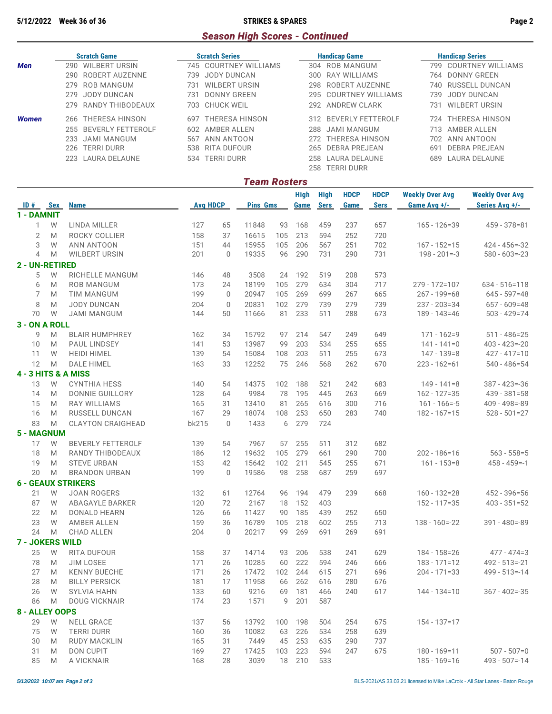## *Season High Scores - Continued*

|       | <b>Scratch Game</b>          | <b>Scratch Series</b>       | <b>Handicap Game</b>     | <b>Handicap Series</b>      |  |  |
|-------|------------------------------|-----------------------------|--------------------------|-----------------------------|--|--|
| Men   | <b>WILBERT URSIN</b><br>290. | 745 COURTNEY WILLIAMS       | 304 ROB MANGUM           | 799 COURTNEY WILLIAMS       |  |  |
|       | 290 ROBERT AUZENNE           | JODY DUNCAN<br>739.         | 300 RAY WILLIAMS         | 764 DONNY GREEN             |  |  |
|       | 279 ROB MANGUM               | <b>WILBERT URSIN</b><br>731 | ROBERT AUZENNE<br>298    | 740 RUSSELL DUNCAN          |  |  |
|       | 279 JODY DUNCAN              | DONNY GREEN<br>731          | 295 COURTNEY WILLIAMS    | JODY DUNCAN<br>739.         |  |  |
|       | 279 RANDY THIBODEAUX         | 703 CHUCK WEIL              | 292 ANDREW CLARK         | <b>WILBERT URSIN</b><br>731 |  |  |
| Women | 266 THERESA HINSON           | THERESA HINSON<br>697       | 312 BEVERLY FETTEROLF    | 724 THERESA HINSON          |  |  |
|       | BEVERLY FETTEROLF<br>255     | AMBER ALLEN<br>602          | JAMI MANGUM<br>288       | AMBER ALLEN<br>713.         |  |  |
|       | JAMI MANGUM<br>233           | ANN ANTOON<br>567           | 272 THERESA HINSON       | 702 ANN ANTOON              |  |  |
|       | 226 TERRI DURR               | 538 RITA DUFOUR             | 265 DEBRA PREJEAN        | DEBRA PREJEAN<br>691        |  |  |
|       | 223 LAURA DELAUNE            | TERRI DURR<br>534           | 258 LAURA DELAUNE        | 689 LAURA DELAUNE           |  |  |
|       |                              |                             | <b>TERRI DURR</b><br>258 |                             |  |  |

#### *Team Rosters*

|                        |            |                           |                 |             |                 |     | <b>High</b> | High        | <b>HDCP</b> | <b>HDCP</b> | <b>Weekly Over Avg</b> | <b>Weekly Over Avg</b> |  |
|------------------------|------------|---------------------------|-----------------|-------------|-----------------|-----|-------------|-------------|-------------|-------------|------------------------|------------------------|--|
| ID#                    | <b>Sex</b> | <b>Name</b>               | <b>Avg HDCP</b> |             | <b>Pins Gms</b> |     | Game        | <b>Sers</b> | Game        | <b>Sers</b> | Game Avg +/-           | Series Avg +/-         |  |
| 1 - DAMNIT             |            |                           |                 |             |                 |     |             |             |             |             |                        |                        |  |
| $\mathbf{1}$           | W          | LINDA MILLER              | 127             | 65          | 11848           | 93  | 168         | 459         | 237         | 657         | $165 - 126 = 39$       | 459 - 378=81           |  |
| $\mathbf{2}$           | M          | ROCKY COLLIER             | 158             | 37          | 16615           | 105 | 213         | 594         | 252         | 720         |                        |                        |  |
| 3                      | W          | <b>ANN ANTOON</b>         | 151             | 44          | 15955           | 105 | 206         | 567         | 251         | 702         | $167 - 152 = 15$       | $424 - 456 = -32$      |  |
| $\overline{4}$         | M          | <b>WILBERT URSIN</b>      | 201             | $\mathbb O$ | 19335           | 96  | 290         | 731         | 290         | 731         | $198 - 201 = -3$       | $580 - 603 = -23$      |  |
| 2 - UN-RETIRED         |            |                           |                 |             |                 |     |             |             |             |             |                        |                        |  |
| 5                      | W          | RICHELLE MANGUM           | 146             | 48          | 3508            | 24  | 192         | 519         | 208         | 573         |                        |                        |  |
| 6                      | M          | <b>ROB MANGUM</b>         | 173             | 24          | 18199           | 105 | 279         | 634         | 304         | 717         | $279 - 172 = 107$      | $634 - 516 = 118$      |  |
| 7                      | M          | <b>TIM MANGUM</b>         | 199             | $\mathbf 0$ | 20947           | 105 | 269         | 699         | 267         | 665         | $267 - 199 = 68$       | $645 - 597 = 48$       |  |
| 8                      | M          | <b>JODY DUNCAN</b>        | 204             | $\mathbf 0$ | 20831           | 102 | 279         | 739         | 279         | 739         | $237 - 203 = 34$       | $657 - 609 = 48$       |  |
| 70                     | W          | <b>JAMI MANGUM</b>        | 144             | 50          | 11666           | 81  | 233         | 511         | 288         | 673         | $189 - 143 = 46$       | $503 - 429 = 74$       |  |
| 3 - ON A ROLL          |            |                           |                 |             |                 |     |             |             |             |             |                        |                        |  |
| 9                      | M          | <b>BLAIR HUMPHREY</b>     | 162             | 34          | 15792           | 97  | 214         | 547         | 249         | 649         | $171 - 162 = 9$        | $511 - 486 = 25$       |  |
| 10                     | M          | PAUL LINDSEY              | 141             | 53          | 13987           | 99  | 203         | 534         | 255         | 655         | $141 - 141 = 0$        | $403 - 423 = -20$      |  |
| 11                     | W          | <b>HEIDI HIMEL</b>        | 139             | 54          | 15084           | 108 | 203         | 511         | 255         | 673         | $147 - 139 = 8$        | $427 - 417 = 10$       |  |
| 12                     | M          | <b>DALE HIMEL</b>         | 163             | 33          | 12252           | 75  | 246         | 568         | 262         | 670         | $223 - 162 = 61$       | $540 - 486 = 54$       |  |
|                        |            | 4 - 3 HITS & A MISS       |                 |             |                 |     |             |             |             |             |                        |                        |  |
| 13                     | W          | <b>CYNTHIA HESS</b>       | 140             | 54          | 14375           | 102 | 188         | 521         | 242         | 683         | $149 - 141 = 8$        | $387 - 423 = -36$      |  |
| 14                     | M          | <b>DONNIE GUILLORY</b>    | 128             | 64          | 9984            | 78  | 195         | 445         | 263         | 669         | $162 - 127 = 35$       | $439 - 381 = 58$       |  |
| 15                     | M          | RAY WILLIAMS              | 165             | 31          | 13410           | 81  | 265         | 616         | 300         | 716         | $161 - 166 = -5$       | $409 - 498 = -89$      |  |
| 16                     | M          | RUSSELL DUNCAN            | 167             | 29          | 18074           | 108 | 253         | 650         | 283         | 740         | $182 - 167 = 15$       | $528 - 501 = 27$       |  |
| 83                     | M          | <b>CLAYTON CRAIGHEAD</b>  | bk215           | $\mathbf 0$ | 1433            | 6   | 279         | 724         |             |             |                        |                        |  |
| <b>5 - MAGNUM</b>      |            |                           |                 |             |                 |     |             |             |             |             |                        |                        |  |
| 17                     | W          | <b>BEVERLY FETTEROLF</b>  | 139             | 54          | 7967            | 57  | 255         | 511         | 312         | 682         |                        |                        |  |
| 18                     | M          | RANDY THIBODEAUX          | 186             | 12          | 19632           | 105 | 279         | 661         | 290         | 700         | $202 - 186 = 16$       | $563 - 558 = 5$        |  |
| 19                     | M          | <b>STEVE URBAN</b>        | 153             | 42          | 15642           | 102 | 211         | 545         | 255         | 671         | $161 - 153 = 8$        | $458 - 459 = -1$       |  |
| 20                     | M          | <b>BRANDON URBAN</b>      | 199             | $\mathbf 0$ | 19586           | 98  | 258         | 687         | 259         | 697         |                        |                        |  |
|                        |            | <b>6 - GEAUX STRIKERS</b> |                 |             |                 |     |             |             |             |             |                        |                        |  |
| 21                     | W          | <b>JOAN ROGERS</b>        | 132             | 61          | 12764           | 96  | 194         | 479         | 239         | 668         | $160 - 132 = 28$       | 452 - 396=56           |  |
| 87                     | W          | <b>ABAGAYLE BARKER</b>    | 120             | 72          | 2167            | 18  | 152         | 403         |             |             | $152 - 117 = 35$       | $403 - 351 = 52$       |  |
| 22                     | M          | <b>DONALD HEARN</b>       | 126             | 66          | 11427           | 90  | 185         | 439         | 252         | 650         |                        |                        |  |
| 23                     | W          | <b>AMBER ALLEN</b>        | 159             | 36          | 16789           | 105 | 218         | 602         | 255         | 713         | $138 - 160 = -22$      | 391 - 480=-89          |  |
| 24                     | M          | <b>CHAD ALLEN</b>         | 204             | $\mathbf 0$ | 20217           | 99  | 269         | 691         | 269         | 691         |                        |                        |  |
| <b>7 - JOKERS WILD</b> |            |                           |                 |             |                 |     |             |             |             |             |                        |                        |  |
| 25                     | W          | <b>RITA DUFOUR</b>        | 158             | 37          | 14714           | 93  | 206         | 538         | 241         | 629         | 184 - 158 = 26         | $477 - 474 = 3$        |  |
| 78                     | M          | <b>JIM LOSEE</b>          | 171             | 26          | 10285           | 60  | 222         | 594         | 246         | 666         | $183 - 171 = 12$       | $492 - 513 = -21$      |  |
| 27                     | M          | <b>KENNY BUECHE</b>       | 171             | 26          | 17472           | 102 | 244         | 615         | 271         | 696         | $204 - 171 = 33$       | $499 - 513 = -14$      |  |
| 28                     | M          | <b>BILLY PERSICK</b>      | 181             | 17          | 11958           | 66  | 262         | 616         | 280         | 676         |                        |                        |  |
| 26                     | W          | <b>SYLVIA HAHN</b>        | 133             | 60          | 9216            | 69  | 181         | 466         | 240         | 617         | 144 - 134=10           | $367 - 402 = -35$      |  |
| 86                     | M          | <b>DOUG VICKNAIR</b>      | 174             | 23          | 1571            | 9   | 201         | 587         |             |             |                        |                        |  |
| 8 - ALLEY OOPS         |            |                           |                 |             |                 |     |             |             |             |             |                        |                        |  |
| 29                     | W          | <b>NELL GRACE</b>         | 137             | 56          | 13792           | 100 | 198         | 504         | 254         | 675         | $154 - 137 = 17$       |                        |  |
| 75                     | W          | <b>TERRI DURR</b>         | 160             | 36          | 10082           | 63  | 226         | 534         | 258         | 639         |                        |                        |  |
| 30                     | M          | <b>RUDY MACKLIN</b>       | 165             | 31          | 7449            | 45  | 253         | 635         | 290         | 737         |                        |                        |  |
| 31                     | M          | DON CUPIT                 | 169             | 27          | 17425           | 103 | 223         | 594         | 247         | 675         | $180 - 169 = 11$       | $507 - 507 = 0$        |  |
| 85                     | M          | A VICKNAIR                | 168             | 28          | 3039            | 18  | 210         | 533         |             |             | $185 - 169 = 16$       | $493 - 507 = -14$      |  |
|                        |            |                           |                 |             |                 |     |             |             |             |             |                        |                        |  |